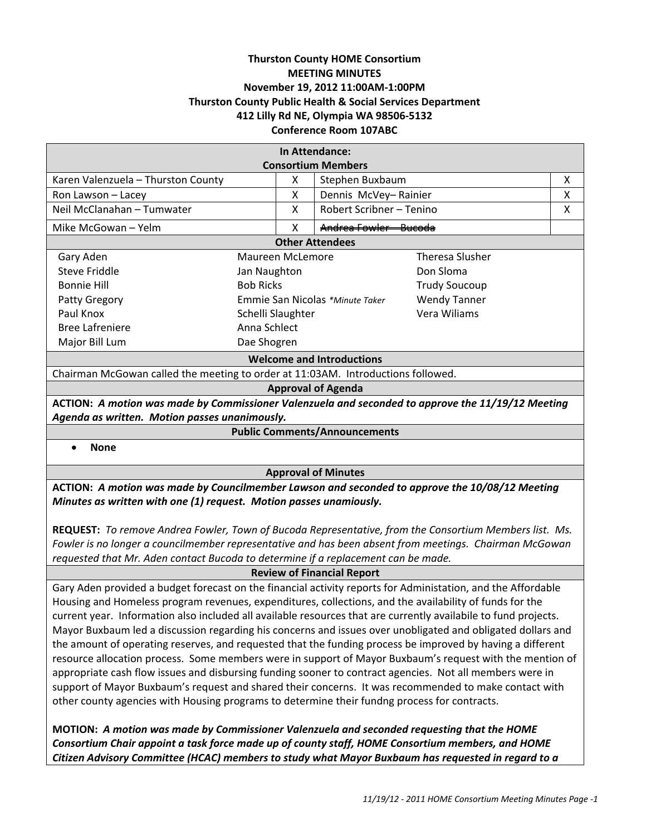## **Thurston County HOME Consortium MEETING MINUTES November 19, 2012 11:00AM‐1:00PM Thurston County Public Health & Social Services Department 412 Lilly Rd NE, Olympia WA 98506‐5132 Conference Room 107ABC**

| In Attendance:                                                                   |                                 |   |                                |                      |   |
|----------------------------------------------------------------------------------|---------------------------------|---|--------------------------------|----------------------|---|
| <b>Consortium Members</b>                                                        |                                 |   |                                |                      |   |
| Karen Valenzuela - Thurston County                                               |                                 | X | Stephen Buxbaum                |                      | x |
| Ron Lawson - Lacey                                                               |                                 | x | Dennis McVey-Rainier           |                      | х |
| Neil McClanahan - Tumwater                                                       |                                 | X | Robert Scribner - Tenino       |                      | X |
| Mike McGowan – Yelm                                                              |                                 | x | <u> Andrea Fowler – Rucoda</u> |                      |   |
| <b>Other Attendees</b>                                                           |                                 |   |                                |                      |   |
| Gary Aden                                                                        | Maureen McLemore                |   |                                | Theresa Slusher      |   |
| Steve Friddle                                                                    | Jan Naughton                    |   |                                | Don Sloma            |   |
| Bonnie Hill                                                                      | <b>Bob Ricks</b>                |   |                                | <b>Trudy Soucoup</b> |   |
| Patty Gregory                                                                    | Emmie San Nicolas *Minute Taker |   |                                | <b>Wendy Tanner</b>  |   |
| Paul Knox                                                                        | Schelli Slaughter               |   |                                | Vera Wiliams         |   |
| <b>Bree Lafreniere</b>                                                           | Anna Schlect                    |   |                                |                      |   |
| Major Bill Lum                                                                   | Dae Shogren                     |   |                                |                      |   |
| <b>Welcome and Introductions</b>                                                 |                                 |   |                                |                      |   |
| Chairman McGowan called the meeting to order at 11:03AM. Introductions followed. |                                 |   |                                |                      |   |
| <b>Approval of Agenda</b>                                                        |                                 |   |                                |                      |   |

**ACTION:** *A motion was made by Commissioner Valenzuela and seconded to approve the 11/19/12 Meeting Agenda as written. Motion passes unanimously.*

**Public Comments/Announcements**

**None**

**Approval of Minutes**

**ACTION:** *A motion was made by Councilmember Lawson and seconded to approve the 10/08/12 Meeting Minutes as written with one (1) request. Motion passes unamiously.*

**REQUEST:** *To remove Andrea Fowler, Town of Bucoda Representative, from the Consortium Members list. Ms. Fowler is no longer a councilmember representative and has been absent from meetings. Chairman McGowan requested that Mr. Aden contact Bucoda to determine if a replacement can be made.*

**Review of Financial Report**

Gary Aden provided a budget forecast on the financial activity reports for Administation, and the Affordable Housing and Homeless program revenues, expenditures, collections, and the availability of funds for the current year. Information also included all available resources that are currently availabile to fund projects. Mayor Buxbaum led a discussion regarding his concerns and issues over unobligated and obligated dollars and the amount of operating reserves, and requested that the funding process be improved by having a different resource allocation process. Some members were in support of Mayor Buxbaum's request with the mention of appropriate cash flow issues and disbursing funding sooner to contract agencies. Not all members were in support of Mayor Buxbaum's request and shared their concerns. It was recommended to make contact with other county agencies with Housing programs to determine their fundng process for contracts.

**MOTION:** *A motion was made by Commissioner Valenzuela and seconded requesting that the HOME Consortium Chair appoint a task force made up of county staff, HOME Consortium members, and HOME Citizen Advisory Committee (HCAC) members to study what Mayor Buxbaum has requested in regard to a*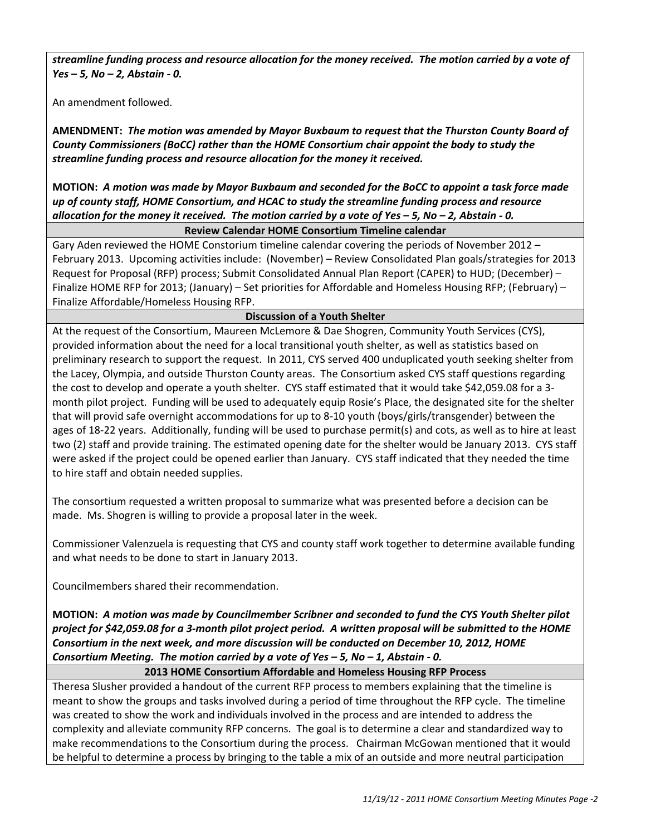streamline funding process and resource allocation for the money received. The motion carried by a vote of *Yes – 5, No – 2, Abstain ‐ 0.* 

An amendment followed.

**AMENDMENT:** *The motion was amended by Mayor Buxbaum to request that the Thurston County Board of County Commissioners (BoCC) rather than the HOME Consortium chair appoint the body to study the streamline funding process and resource allocation for the money it received.*

MOTION: A motion was made by Mayor Buxbaum and seconded for the BoCC to appoint a task force made *up of county staff, HOME Consortium, and HCAC to study the streamline funding process and resource* allocation for the money it received. The motion carried by a vote of Yes - 5, No - 2, Abstain - 0.

# **Review Calendar HOME Consortium Timeline calendar**

Gary Aden reviewed the HOME Constorium timeline calendar covering the periods of November 2012 – February 2013. Upcoming activities include: (November) – Review Consolidated Plan goals/strategies for 2013 Request for Proposal (RFP) process; Submit Consolidated Annual Plan Report (CAPER) to HUD; (December) – Finalize HOME RFP for 2013; (January) – Set priorities for Affordable and Homeless Housing RFP; (February) – Finalize Affordable/Homeless Housing RFP.

# **Discussion of a Youth Shelter**

At the request of the Consortium, Maureen McLemore & Dae Shogren, Community Youth Services (CYS), provided information about the need for a local transitional youth shelter, as well as statistics based on preliminary research to support the request. In 2011, CYS served 400 unduplicated youth seeking shelter from the Lacey, Olympia, and outside Thurston County areas. The Consortium asked CYS staff questions regarding the cost to develop and operate a youth shelter. CYS staff estimated that it would take \$42,059.08 for a 3‐ month pilot project. Funding will be used to adequately equip Rosie's Place, the designated site for the shelter that will provid safe overnight accommodations for up to 8‐10 youth (boys/girls/transgender) between the ages of 18‐22 years. Additionally, funding will be used to purchase permit(s) and cots, as well as to hire at least two (2) staff and provide training. The estimated opening date for the shelter would be January 2013. CYS staff were asked if the project could be opened earlier than January. CYS staff indicated that they needed the time to hire staff and obtain needed supplies.

The consortium requested a written proposal to summarize what was presented before a decision can be made. Ms. Shogren is willing to provide a proposal later in the week.

Commissioner Valenzuela is requesting that CYS and county staff work together to determine available funding and what needs to be done to start in January 2013.

Councilmembers shared their recommendation.

MOTION: A motion was made by Councilmember Scribner and seconded to fund the CYS Youth Shelter pilot project for \$42,059.08 for a 3-month pilot project period. A written proposal will be submitted to the HOME *Consortium in the next week, and more discussion will be conducted on December 10, 2012, HOME* Consortium Meeting. The motion carried by a vote of Yes  $-5$ , No  $-1$ , Abstain - 0.

### **2013 HOME Consortium Affordable and Homeless Housing RFP Process**

Theresa Slusher provided a handout of the current RFP process to members explaining that the timeline is meant to show the groups and tasks involved during a period of time throughout the RFP cycle. The timeline was created to show the work and individuals involved in the process and are intended to address the complexity and alleviate community RFP concerns. The goal is to determine a clear and standardized way to make recommendations to the Consortium during the process. Chairman McGowan mentioned that it would be helpful to determine a process by bringing to the table a mix of an outside and more neutral participation